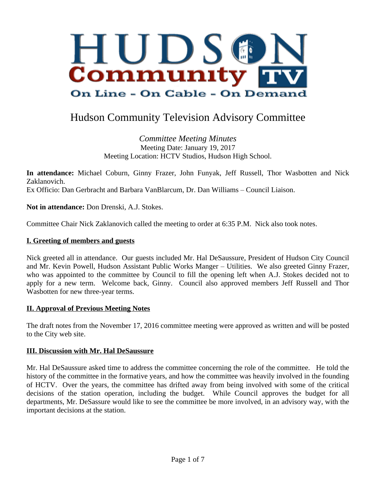

# Hudson Community Television Advisory Committee

*Committee Meeting Minutes* Meeting Date: January 19, 2017 Meeting Location: HCTV Studios, Hudson High School.

**In attendance:** Michael Coburn, Ginny Frazer, John Funyak, Jeff Russell, Thor Wasbotten and Nick Zaklanovich. Ex Officio: Dan Gerbracht and Barbara VanBlarcum, Dr. Dan Williams – Council Liaison.

**Not in attendance:** Don Drenski, A.J. Stokes.

Committee Chair Nick Zaklanovich called the meeting to order at 6:35 P.M. Nick also took notes.

#### **I. Greeting of members and guests**

Nick greeted all in attendance. Our guests included Mr. Hal DeSaussure, President of Hudson City Council and Mr. Kevin Powell, Hudson Assistant Public Works Manger – Utilities. We also greeted Ginny Frazer, who was appointed to the committee by Council to fill the opening left when A.J. Stokes decided not to apply for a new term. Welcome back, Ginny. Council also approved members Jeff Russell and Thor Wasbotten for new three-year terms.

#### **II. Approval of Previous Meeting Notes**

The draft notes from the November 17, 2016 committee meeting were approved as written and will be posted to the City web site.

#### **III. Discussion with Mr. Hal DeSaussure**

Mr. Hal DeSaussure asked time to address the committee concerning the role of the committee. He told the history of the committee in the formative years, and how the committee was heavily involved in the founding of HCTV. Over the years, the committee has drifted away from being involved with some of the critical decisions of the station operation, including the budget. While Council approves the budget for all departments, Mr. DeSassure would like to see the committee be more involved, in an advisory way, with the important decisions at the station.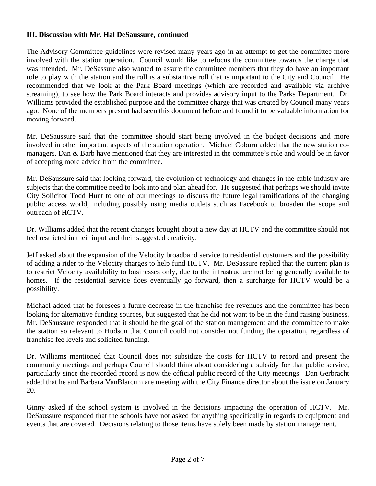#### **III. Discussion with Mr. Hal DeSaussure, continued**

The Advisory Committee guidelines were revised many years ago in an attempt to get the committee more involved with the station operation. Council would like to refocus the committee towards the charge that was intended. Mr. DeSassure also wanted to assure the committee members that they do have an important role to play with the station and the roll is a substantive roll that is important to the City and Council. He recommended that we look at the Park Board meetings (which are recorded and available via archive streaming), to see how the Park Board interacts and provides advisory input to the Parks Department. Dr. Williams provided the established purpose and the committee charge that was created by Council many years ago. None of the members present had seen this document before and found it to be valuable information for moving forward.

Mr. DeSaussure said that the committee should start being involved in the budget decisions and more involved in other important aspects of the station operation. Michael Coburn added that the new station comanagers, Dan & Barb have mentioned that they are interested in the committee's role and would be in favor of accepting more advice from the committee.

Mr. DeSaussure said that looking forward, the evolution of technology and changes in the cable industry are subjects that the committee need to look into and plan ahead for. He suggested that perhaps we should invite City Solicitor Todd Hunt to one of our meetings to discuss the future legal ramifications of the changing public access world, including possibly using media outlets such as Facebook to broaden the scope and outreach of HCTV.

Dr. Williams added that the recent changes brought about a new day at HCTV and the committee should not feel restricted in their input and their suggested creativity.

Jeff asked about the expansion of the Velocity broadband service to residential customers and the possibility of adding a rider to the Velocity charges to help fund HCTV. Mr. DeSassure replied that the current plan is to restrict Velocity availability to businesses only, due to the infrastructure not being generally available to homes. If the residential service does eventually go forward, then a surcharge for HCTV would be a possibility.

Michael added that he foresees a future decrease in the franchise fee revenues and the committee has been looking for alternative funding sources, but suggested that he did not want to be in the fund raising business. Mr. DeSaussure responded that it should be the goal of the station management and the committee to make the station so relevant to Hudson that Council could not consider not funding the operation, regardless of franchise fee levels and solicited funding.

Dr. Williams mentioned that Council does not subsidize the costs for HCTV to record and present the community meetings and perhaps Council should think about considering a subsidy for that public service, particularly since the recorded record is now the official public record of the City meetings. Dan Gerbracht added that he and Barbara VanBlarcum are meeting with the City Finance director about the issue on January 20.

Ginny asked if the school system is involved in the decisions impacting the operation of HCTV. Mr. DeSaussure responded that the schools have not asked for anything specifically in regards to equipment and events that are covered. Decisions relating to those items have solely been made by station management.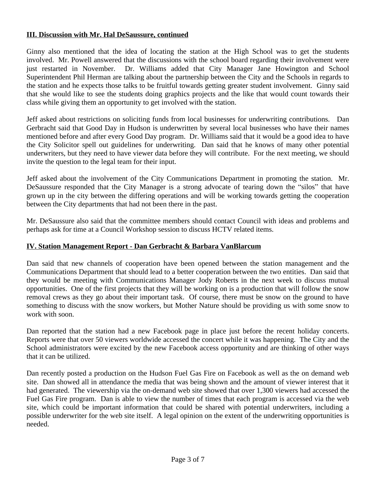#### **III. Discussion with Mr. Hal DeSaussure, continued**

Ginny also mentioned that the idea of locating the station at the High School was to get the students involved. Mr. Powell answered that the discussions with the school board regarding their involvement were just restarted in November. Dr. Williams added that City Manager Jane Howington and School Superintendent Phil Herman are talking about the partnership between the City and the Schools in regards to the station and he expects those talks to be fruitful towards getting greater student involvement. Ginny said that she would like to see the students doing graphics projects and the like that would count towards their class while giving them an opportunity to get involved with the station.

Jeff asked about restrictions on soliciting funds from local businesses for underwriting contributions. Dan Gerbracht said that Good Day in Hudson is underwritten by several local businesses who have their names mentioned before and after every Good Day program. Dr. Williams said that it would be a good idea to have the City Solicitor spell out guidelines for underwriting. Dan said that he knows of many other potential underwriters, but they need to have viewer data before they will contribute. For the next meeting, we should invite the question to the legal team for their input.

Jeff asked about the involvement of the City Communications Department in promoting the station. Mr. DeSaussure responded that the City Manager is a strong advocate of tearing down the "silos" that have grown up in the city between the differing operations and will be working towards getting the cooperation between the City departments that had not been there in the past.

Mr. DeSaussure also said that the committee members should contact Council with ideas and problems and perhaps ask for time at a Council Workshop session to discuss HCTV related items.

#### **IV. Station Management Report - Dan Gerbracht & Barbara VanBlarcum**

Dan said that new channels of cooperation have been opened between the station management and the Communications Department that should lead to a better cooperation between the two entities. Dan said that they would be meeting with Communications Manager Jody Roberts in the next week to discuss mutual opportunities. One of the first projects that they will be working on is a production that will follow the snow removal crews as they go about their important task. Of course, there must be snow on the ground to have something to discuss with the snow workers, but Mother Nature should be providing us with some snow to work with soon.

Dan reported that the station had a new Facebook page in place just before the recent holiday concerts. Reports were that over 50 viewers worldwide accessed the concert while it was happening. The City and the School administrators were excited by the new Facebook access opportunity and are thinking of other ways that it can be utilized.

Dan recently posted a production on the Hudson Fuel Gas Fire on Facebook as well as the on demand web site. Dan showed all in attendance the media that was being shown and the amount of viewer interest that it had generated. The viewership via the on-demand web site showed that over 1,300 viewers had accessed the Fuel Gas Fire program. Dan is able to view the number of times that each program is accessed via the web site, which could be important information that could be shared with potential underwriters, including a possible underwriter for the web site itself. A legal opinion on the extent of the underwriting opportunities is needed.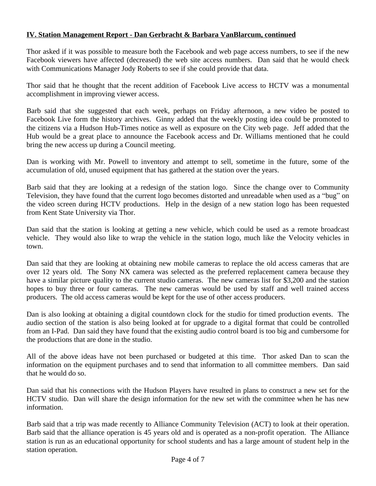### **IV. Station Management Report - Dan Gerbracht & Barbara VanBlarcum, continued**

Thor asked if it was possible to measure both the Facebook and web page access numbers, to see if the new Facebook viewers have affected (decreased) the web site access numbers. Dan said that he would check with Communications Manager Jody Roberts to see if she could provide that data.

Thor said that he thought that the recent addition of Facebook Live access to HCTV was a monumental accomplishment in improving viewer access.

Barb said that she suggested that each week, perhaps on Friday afternoon, a new video be posted to Facebook Live form the history archives. Ginny added that the weekly posting idea could be promoted to the citizens via a Hudson Hub-Times notice as well as exposure on the City web page. Jeff added that the Hub would be a great place to announce the Facebook access and Dr. Williams mentioned that he could bring the new access up during a Council meeting.

Dan is working with Mr. Powell to inventory and attempt to sell, sometime in the future, some of the accumulation of old, unused equipment that has gathered at the station over the years.

Barb said that they are looking at a redesign of the station logo. Since the change over to Community Television, they have found that the current logo becomes distorted and unreadable when used as a "bug" on the video screen during HCTV productions. Help in the design of a new station logo has been requested from Kent State University via Thor.

Dan said that the station is looking at getting a new vehicle, which could be used as a remote broadcast vehicle. They would also like to wrap the vehicle in the station logo, much like the Velocity vehicles in town.

Dan said that they are looking at obtaining new mobile cameras to replace the old access cameras that are over 12 years old. The Sony NX camera was selected as the preferred replacement camera because they have a similar picture quality to the current studio cameras. The new cameras list for \$3,200 and the station hopes to buy three or four cameras. The new cameras would be used by staff and well trained access producers. The old access cameras would be kept for the use of other access producers.

Dan is also looking at obtaining a digital countdown clock for the studio for timed production events. The audio section of the station is also being looked at for upgrade to a digital format that could be controlled from an I-Pad. Dan said they have found that the existing audio control board is too big and cumbersome for the productions that are done in the studio.

All of the above ideas have not been purchased or budgeted at this time. Thor asked Dan to scan the information on the equipment purchases and to send that information to all committee members. Dan said that he would do so.

Dan said that his connections with the Hudson Players have resulted in plans to construct a new set for the HCTV studio. Dan will share the design information for the new set with the committee when he has new information.

Barb said that a trip was made recently to Alliance Community Television (ACT) to look at their operation. Barb said that the alliance operation is 45 years old and is operated as a non-profit operation. The Alliance station is run as an educational opportunity for school students and has a large amount of student help in the station operation.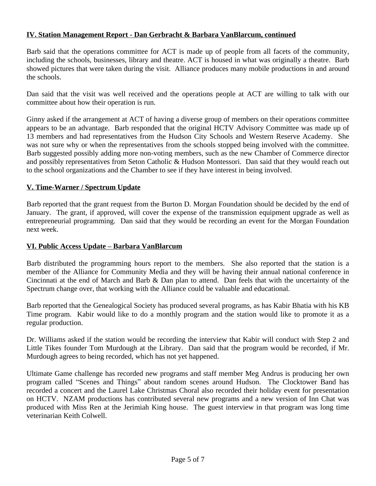## **IV. Station Management Report - Dan Gerbracht & Barbara VanBlarcum, continued**

Barb said that the operations committee for ACT is made up of people from all facets of the community, including the schools, businesses, library and theatre. ACT is housed in what was originally a theatre. Barb showed pictures that were taken during the visit. Alliance produces many mobile productions in and around the schools.

Dan said that the visit was well received and the operations people at ACT are willing to talk with our committee about how their operation is run.

Ginny asked if the arrangement at ACT of having a diverse group of members on their operations committee appears to be an advantage. Barb responded that the original HCTV Advisory Committee was made up of 13 members and had representatives from the Hudson City Schools and Western Reserve Academy. She was not sure why or when the representatives from the schools stopped being involved with the committee. Barb suggested possibly adding more non-voting members, such as the new Chamber of Commerce director and possibly representatives from Seton Catholic & Hudson Montessori. Dan said that they would reach out to the school organizations and the Chamber to see if they have interest in being involved.

#### **V. Time-Warner / Spectrum Update**

Barb reported that the grant request from the Burton D. Morgan Foundation should be decided by the end of January. The grant, if approved, will cover the expense of the transmission equipment upgrade as well as entrepreneurial programming. Dan said that they would be recording an event for the Morgan Foundation next week.

#### **VI. Public Access Update – Barbara VanBlarcum**

Barb distributed the programming hours report to the members. She also reported that the station is a member of the Alliance for Community Media and they will be having their annual national conference in Cincinnati at the end of March and Barb & Dan plan to attend. Dan feels that with the uncertainty of the Spectrum change over, that working with the Alliance could be valuable and educational.

Barb reported that the Genealogical Society has produced several programs, as has Kabir Bhatia with his KB Time program. Kabir would like to do a monthly program and the station would like to promote it as a regular production.

Dr. Williams asked if the station would be recording the interview that Kabir will conduct with Step 2 and Little Tikes founder Tom Murdough at the Library. Dan said that the program would be recorded, if Mr. Murdough agrees to being recorded, which has not yet happened.

Ultimate Game challenge has recorded new programs and staff member Meg Andrus is producing her own program called "Scenes and Things" about random scenes around Hudson. The Clocktower Band has recorded a concert and the Laurel Lake Christmas Choral also recorded their holiday event for presentation on HCTV. NZAM productions has contributed several new programs and a new version of Inn Chat was produced with Miss Ren at the Jerimiah King house. The guest interview in that program was long time veterinarian Keith Colwell.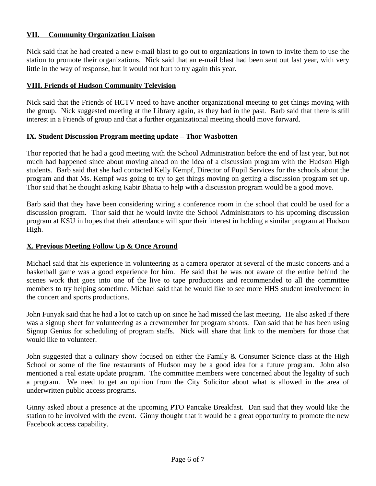### **VII. Community Organization Liaison**

Nick said that he had created a new e-mail blast to go out to organizations in town to invite them to use the station to promote their organizations. Nick said that an e-mail blast had been sent out last year, with very little in the way of response, but it would not hurt to try again this year.

#### **VIII. Friends of Hudson Community Television**

Nick said that the Friends of HCTV need to have another organizational meeting to get things moving with the group. Nick suggested meeting at the Library again, as they had in the past. Barb said that there is still interest in a Friends of group and that a further organizational meeting should move forward.

#### **IX. Student Discussion Program meeting update – Thor Wasbotten**

Thor reported that he had a good meeting with the School Administration before the end of last year, but not much had happened since about moving ahead on the idea of a discussion program with the Hudson High students. Barb said that she had contacted Kelly Kempf, Director of Pupil Services for the schools about the program and that Ms. Kempf was going to try to get things moving on getting a discussion program set up. Thor said that he thought asking Kabir Bhatia to help with a discussion program would be a good move.

Barb said that they have been considering wiring a conference room in the school that could be used for a discussion program. Thor said that he would invite the School Administrators to his upcoming discussion program at KSU in hopes that their attendance will spur their interest in holding a similar program at Hudson High.

#### **X. Previous Meeting Follow Up & Once Around**

Michael said that his experience in volunteering as a camera operator at several of the music concerts and a basketball game was a good experience for him. He said that he was not aware of the entire behind the scenes work that goes into one of the live to tape productions and recommended to all the committee members to try helping sometime. Michael said that he would like to see more HHS student involvement in the concert and sports productions.

John Funyak said that he had a lot to catch up on since he had missed the last meeting. He also asked if there was a signup sheet for volunteering as a crewmember for program shoots. Dan said that he has been using Signup Genius for scheduling of program staffs. Nick will share that link to the members for those that would like to volunteer.

John suggested that a culinary show focused on either the Family & Consumer Science class at the High School or some of the fine restaurants of Hudson may be a good idea for a future program. John also mentioned a real estate update program. The committee members were concerned about the legality of such a program. We need to get an opinion from the City Solicitor about what is allowed in the area of underwritten public access programs.

Ginny asked about a presence at the upcoming PTO Pancake Breakfast. Dan said that they would like the station to be involved with the event. Ginny thought that it would be a great opportunity to promote the new Facebook access capability.